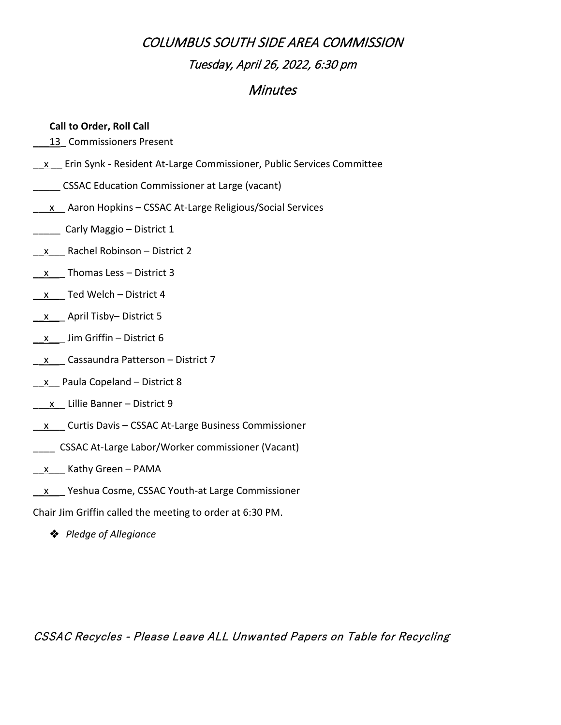## **Minutes**

### **Call to Order, Roll Call**

13 Commissioners Present

- $\underline{x}$  Erin Synk Resident At-Large Commissioner, Public Services Committee
- \_\_\_\_\_ CSSAC Education Commissioner at Large (vacant)
- $\underline{\hspace{1cm}}$  X Aaron Hopkins CSSAC At-Large Religious/Social Services
- \_\_\_\_\_ Carly Maggio District 1
- $x$  Rachel Robinson District 2
- \_\_x\_\_\_ Thomas Less District 3
- \_\_x\_\_\_ Ted Welch District 4
- \_\_x\_\_\_ April Tisby– District 5
- $\underline{x}$  Jim Griffin District 6
- $\underline{\quad x}$  Cassaundra Patterson District 7
- $\underline{x}$  Paula Copeland District 8
- $x$  Lillie Banner District 9
- \_\_x\_\_\_ Curtis Davis CSSAC At-Large Business Commissioner
- \_\_\_\_ CSSAC At-Large Labor/Worker commissioner (Vacant)
- $x$  Kathy Green PAMA
- \_\_x\_\_\_ Yeshua Cosme, CSSAC Youth-at Large Commissioner

Chair Jim Griffin called the meeting to order at 6:30 PM.

*Pledge of Allegiance*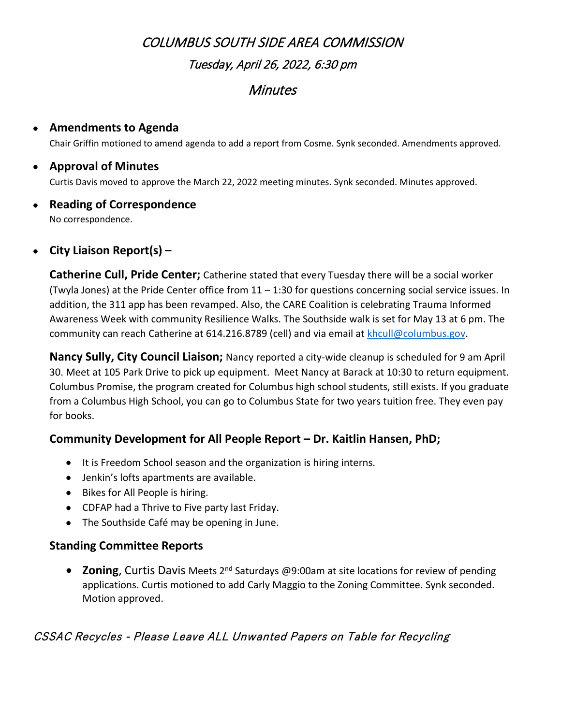## **Minutes**

#### • **Amendments to Agenda**

Chair Griffin motioned to amend agenda to add a report from Cosme. Synk seconded. Amendments approved.

#### • **Approval of Minutes**

Curtis Davis moved to approve the March 22, 2022 meeting minutes. Synk seconded. Minutes approved.

# • **Reading of Correspondence**

No correspondence.

### • **City Liaison Report(s) –**

**Catherine Cull, Pride Center;** Catherine stated that every Tuesday there will be a social worker (Twyla Jones) at the Pride Center office from 11 – 1:30 for questions concerning social service issues. In addition, the 311 app has been revamped. Also, the CARE Coalition is celebrating Trauma Informed Awareness Week with community Resilience Walks. The Southside walk is set for May 13 at 6 pm. The community can reach Catherine at 614.216.8789 (cell) and via email a[t khcull@columbus.gov.](mailto:khcull@columbus.gov)

**Nancy Sully, City Council Liaison;** Nancy reported a city-wide cleanup is scheduled for 9 am April 30. Meet at 105 Park Drive to pick up equipment. Meet Nancy at Barack at 10:30 to return equipment. Columbus Promise, the program created for Columbus high school students, still exists. If you graduate from a Columbus High School, you can go to Columbus State for two years tuition free. They even pay for books.

### **Community Development for All People Report – Dr. Kaitlin Hansen, PhD;**

- It is Freedom School season and the organization is hiring interns.
- Jenkin's lofts apartments are available.
- Bikes for All People is hiring.
- CDFAP had a Thrive to Five party last Friday.
- The Southside Café may be opening in June.

### **Standing Committee Reports**

• **Zoning**, Curtis Davis Meets 2<sup>nd</sup> Saturdays @9:00am at site locations for review of pending applications. Curtis motioned to add Carly Maggio to the Zoning Committee. Synk seconded. Motion approved.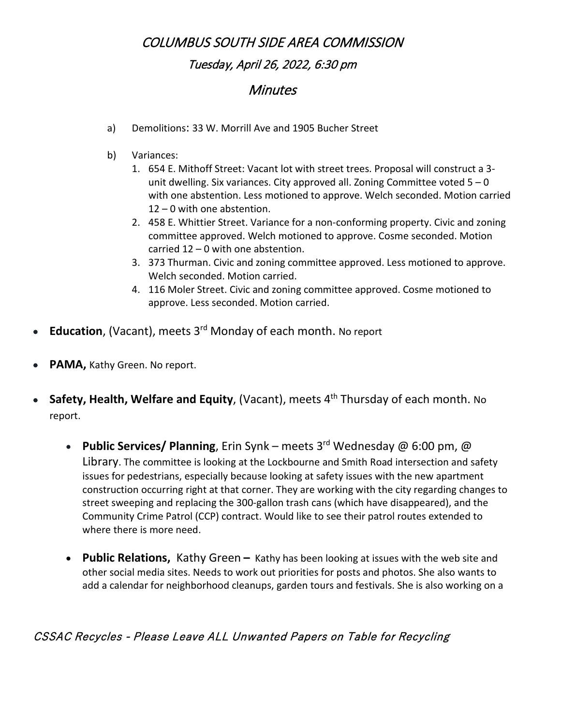## **Minutes**

- a) Demolitions: 33 W. Morrill Ave and 1905 Bucher Street
- b) Variances:
	- 1. 654 E. Mithoff Street: Vacant lot with street trees. Proposal will construct a 3 unit dwelling. Six variances. City approved all. Zoning Committee voted  $5 - 0$ with one abstention. Less motioned to approve. Welch seconded. Motion carried 12 – 0 with one abstention.
	- 2. 458 E. Whittier Street. Variance for a non-conforming property. Civic and zoning committee approved. Welch motioned to approve. Cosme seconded. Motion carried 12 – 0 with one abstention.
	- 3. 373 Thurman. Civic and zoning committee approved. Less motioned to approve. Welch seconded. Motion carried.
	- 4. 116 Moler Street. Civic and zoning committee approved. Cosme motioned to approve. Less seconded. Motion carried.
- **Education**, (Vacant), meets 3<sup>rd</sup> Monday of each month. No report
- PAMA, Kathy Green. No report.
- **Safety, Health, Welfare and Equity**, (Vacant), meets 4<sup>th</sup> Thursday of each month. No report.
	- **Public Services/ Planning**, Erin Synk meets 3rd Wednesday @ 6:00 pm, @ Library. The committee is looking at the Lockbourne and Smith Road intersection and safety issues for pedestrians, especially because looking at safety issues with the new apartment construction occurring right at that corner. They are working with the city regarding changes to street sweeping and replacing the 300-gallon trash cans (which have disappeared), and the Community Crime Patrol (CCP) contract. Would like to see their patrol routes extended to where there is more need.
	- **Public Relations,** Kathy Green **–** Kathy has been looking at issues with the web site and other social media sites. Needs to work out priorities for posts and photos. She also wants to add a calendar for neighborhood cleanups, garden tours and festivals. She is also working on a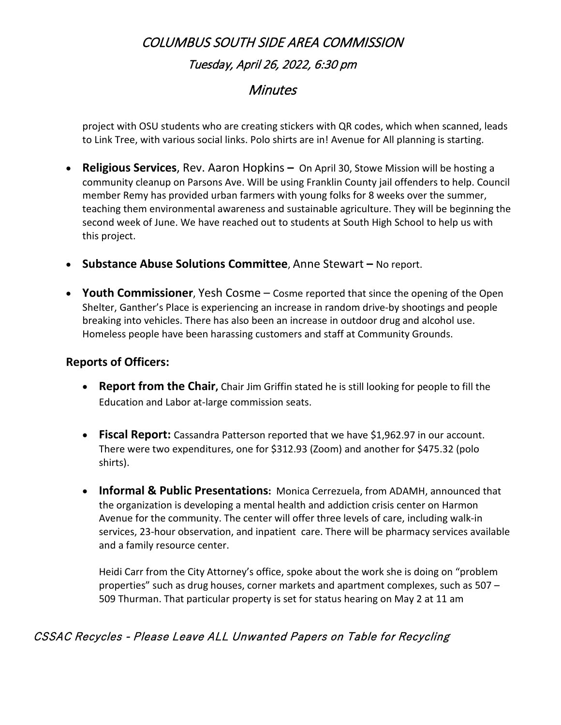### **Minutes**

project with OSU students who are creating stickers with QR codes, which when scanned, leads to Link Tree, with various social links. Polo shirts are in! Avenue for All planning is starting.

- **Religious Services**, Rev. Aaron Hopkins **–** On April 30, Stowe Mission will be hosting a community cleanup on Parsons Ave. Will be using Franklin County jail offenders to help. Council member Remy has provided urban farmers with young folks for 8 weeks over the summer, teaching them environmental awareness and sustainable agriculture. They will be beginning the second week of June. We have reached out to students at South High School to help us with this project.
- **Substance Abuse Solutions Committee**, Anne Stewart **–** No report.
- **Youth Commissioner**, Yesh Cosme Cosme reported that since the opening of the Open Shelter, Ganther's Place is experiencing an increase in random drive-by shootings and people breaking into vehicles. There has also been an increase in outdoor drug and alcohol use. Homeless people have been harassing customers and staff at Community Grounds.

#### **Reports of Officers:**

- **Report from the Chair,** Chair Jim Griffin stated he is still looking for people to fill the Education and Labor at-large commission seats.
- **Fiscal Report:** Cassandra Patterson reported that we have \$1,962.97 in our account. There were two expenditures, one for \$312.93 (Zoom) and another for \$475.32 (polo shirts).
- **Informal & Public Presentations:** Monica Cerrezuela, from ADAMH, announced that the organization is developing a mental health and addiction crisis center on Harmon Avenue for the community. The center will offer three levels of care, including walk-in services, 23-hour observation, and inpatient care. There will be pharmacy services available and a family resource center.

Heidi Carr from the City Attorney's office, spoke about the work she is doing on "problem properties" such as drug houses, corner markets and apartment complexes, such as 507 – 509 Thurman. That particular property is set for status hearing on May 2 at 11 am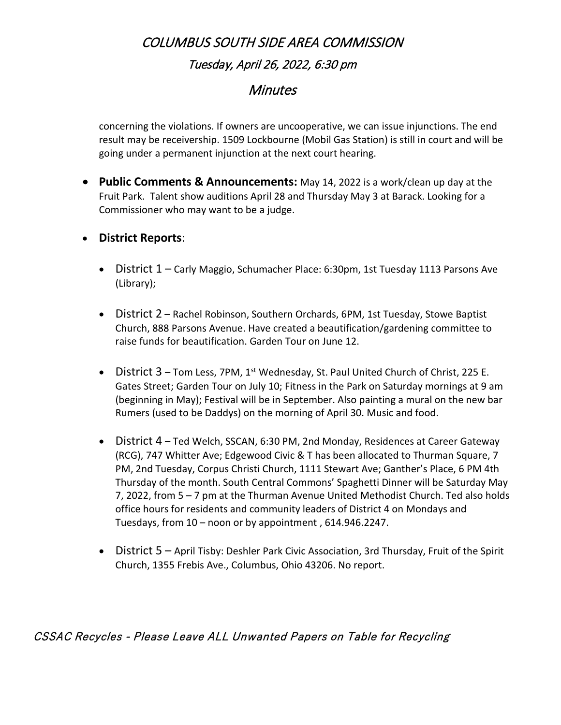### **Minutes**

concerning the violations. If owners are uncooperative, we can issue injunctions. The end result may be receivership. 1509 Lockbourne (Mobil Gas Station) is still in court and will be going under a permanent injunction at the next court hearing.

- **Public Comments & Announcements:** May 14, 2022 is a work/clean up day at the Fruit Park. Talent show auditions April 28 and Thursday May 3 at Barack. Looking for a Commissioner who may want to be a judge.
- **District Reports**:
	- District 1 Carly Maggio, Schumacher Place: 6:30pm, 1st Tuesday 1113 Parsons Ave (Library);
	- District 2 Rachel Robinson, Southern Orchards, 6PM, 1st Tuesday, Stowe Baptist Church, 888 Parsons Avenue. Have created a beautification/gardening committee to raise funds for beautification. Garden Tour on June 12.
	- District 3 Tom Less, 7PM, 1<sup>st</sup> Wednesday, St. Paul United Church of Christ, 225 E. Gates Street; Garden Tour on July 10; Fitness in the Park on Saturday mornings at 9 am (beginning in May); Festival will be in September. Also painting a mural on the new bar Rumers (used to be Daddys) on the morning of April 30. Music and food.
	- District 4 Ted Welch, SSCAN, 6:30 PM, 2nd Monday, Residences at Career Gateway (RCG), 747 Whitter Ave; Edgewood Civic & T has been allocated to Thurman Square, 7 PM, 2nd Tuesday, Corpus Christi Church, 1111 Stewart Ave; Ganther's Place, 6 PM 4th Thursday of the month. South Central Commons' Spaghetti Dinner will be Saturday May 7, 2022, from 5 – 7 pm at the Thurman Avenue United Methodist Church. Ted also holds office hours for residents and community leaders of District 4 on Mondays and Tuesdays, from 10 – noon or by appointment , 614.946.2247.
	- District 5 April Tisby: Deshler Park Civic Association, 3rd Thursday, Fruit of the Spirit Church, 1355 Frebis Ave., Columbus, Ohio 43206. No report.